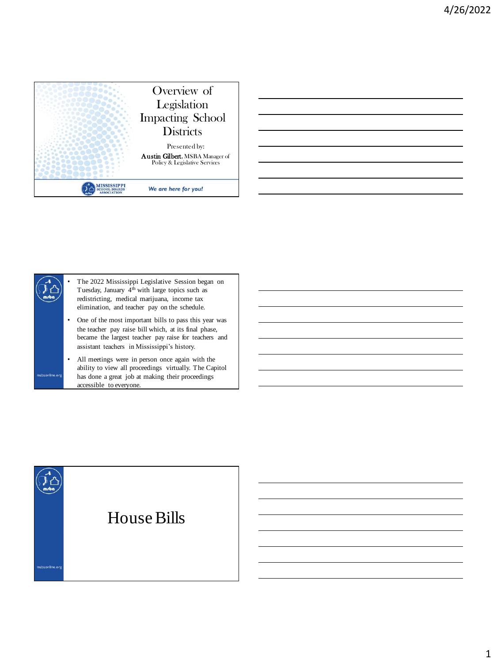



• The 2022 Mississippi Legislative Session began on Tuesday, January 4th with large topics such as redistricting, medical marijuana, income tax elimination, and teacher pay on the schedule.

- One of the most important bills to pass this year was the teacher pay raise bill which, at its final phase, became the largest teacher pay raise for teachers and assistant teachers in Mississippi's history.
- All meetings were in person once again with the ability to view all proceedings virtually. The Capitol has done a great job at making their proceedings accessible to everyone.

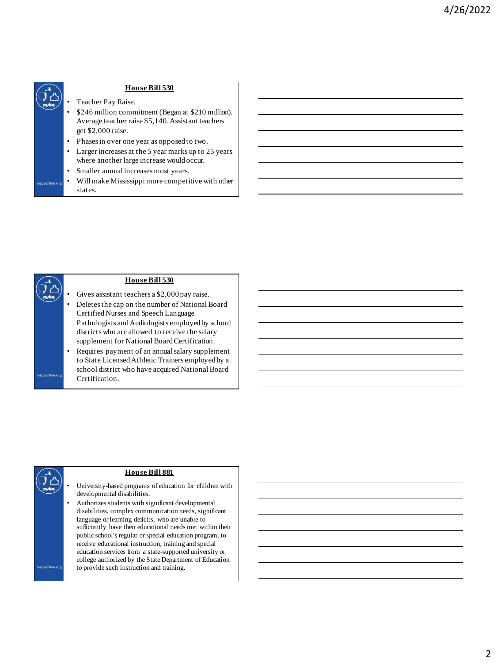

- Teacher Pay Raise.
- \$246 million commitment (Began at \$210 million). Average teacher raise \$5,140. Assistant teachers get \$2,000 raise.
- Phases in over one year as opposed to two.
- Larger increases at the 5 year marks up to 25 years where another large increase would occur.
- Smaller annual increases most years.
- Will make Mississippi more competitive with other

- Gives assistant teachers a \$2,000 pay raise.
- Deletes the cap on the number of National Board Certified Nurses and Speech Language Pathologists and Audiologists employed by school districts who are allowed to receive the salary supplement for National Board Certification.
- Requires payment of an annual salary supplement to State Licensed Athletic Trainers employed by a school district who have acquired National Board Certification.

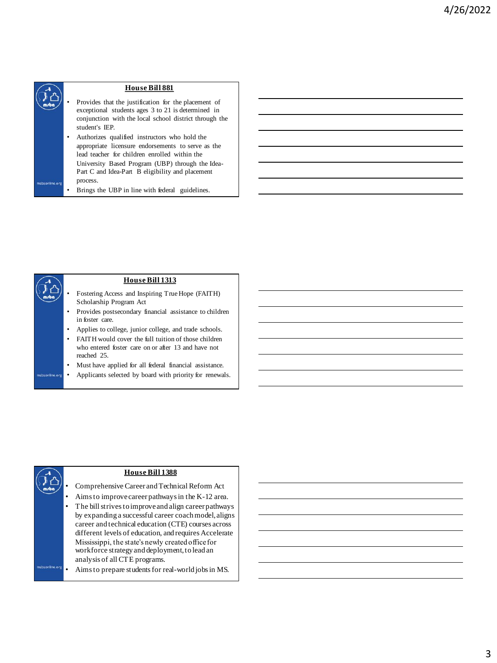

- Provides that the justification for the placement of exceptional students ages 3 to 21 is determined in conjunction with the local school district through the student's IEP.
- Authorizes qualified instructors who hold the appropriate licensure endorsements to serve as the lead teacher for children enrolled within the University Based Program (UBP) through the Idea-Part C and Idea-Part B eligibility and placement process.
- Brings the UBP in line with federal guidelines.

- Fostering Access and Inspiring True Hope (FAITH) Scholarship Program Act
- Provides postsecondary financial assistance to children in foster care.
- Applies to college, junior college, and trade schools.
- FAITH would cover the full tuition of those children who entered foster care on or after 13 and have not reached 25.
- Must have applied for all federal financial assistance.
- Applicants selected by board with priority for renewals.

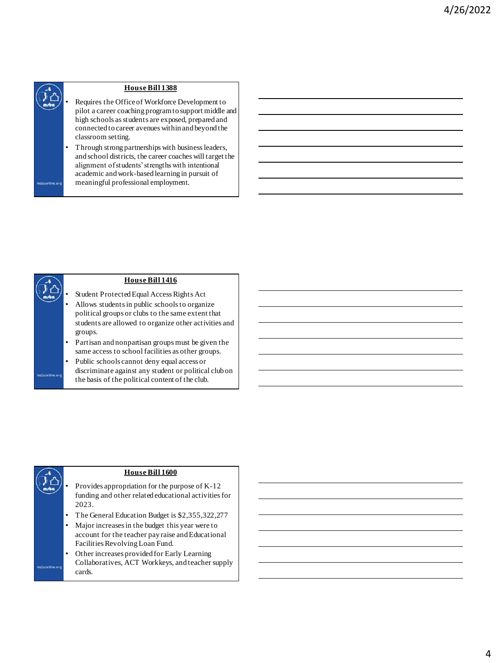

- Requires the Office of Workforce Development to pilot a career coaching program to support middle and high schools as students are exposed, prepared and connected to career avenues within and beyond the classroom setting.
- Through strong partnerships with business leaders, and school districts, the career coaches will target the alignment of students' strengths with intentional academic and work-based learning in pursuit of meaningful professional employment.

### **House Bill 1416**

- Student Protected Equal Access Rights Act
- Allows students in public schools to organize political groups or clubs to the same extent that students are allowed to organize other activities and groups.
- Partisan and nonpartisan groups must be given the same access to school facilities as other groups.
- Public schools cannot deny equal access or discriminate against any student or political club on the basis of the political content of the club.

- Provides appropriation for the purpose of K-12 funding and other related educational activities for 2023.
- The General Education Budget is \$2,355,322,277
- Major increases in the budget this year were to account for the teacher pay raise and Educational Facilities Revolving Loan Fund.
- Other increases provided for Early Learning Collaboratives, ACT Workkeys, and teacher supply cards.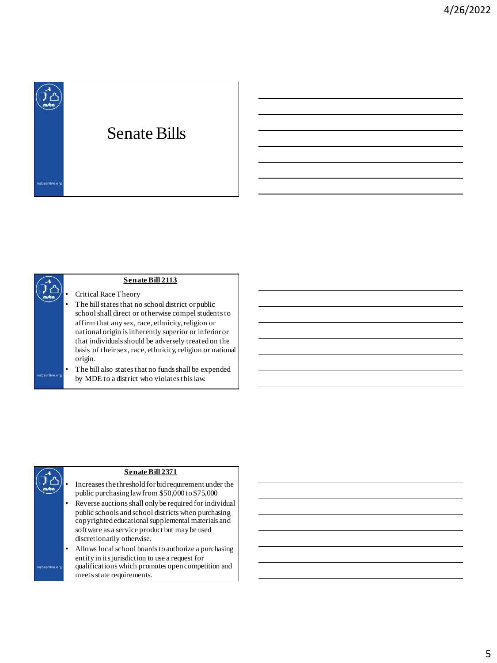

- Critical Race Theory
- The bill states that no school district or public school shall direct or otherwise compel students to affirm that any sex, race, ethnicity, religion or national origin is inherently superior or inferior or that individuals should be adversely treated on the basis of their sex, race, ethnicity, religion or national origin.
- The bill also states that no funds shall be expended by MDE to a district who violates this law.

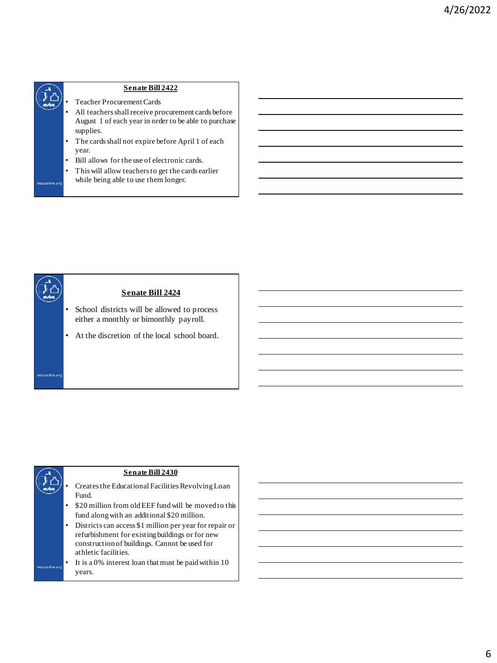

- Teacher Procurement Cards
- All teachers shall receive procurement cards before August 1 of each year in order to be able to purchase supplies.
- The cards shall not expire before April 1 of each year.
- Bill allows for the use of electronic cards.
- This will allow teachers to get the cards earlier while being able to use them longer.





# 6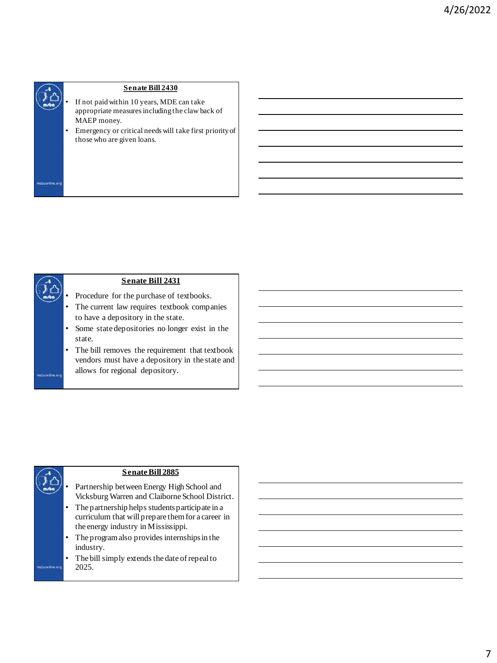

- If not paid within 10 years, MDE can take appropriate measures including the claw back of MAEP money.
- Emergency or critical needs will take first priority of those who are given loans.



- Procedure for the purchase of textbooks.
- The current law requires textbook companies to have a depository in the state.
- Some state depositories no longer exist in the state.
- The bill removes the requirement that textbook vendors must have a depository in the state and allows for regional depository.

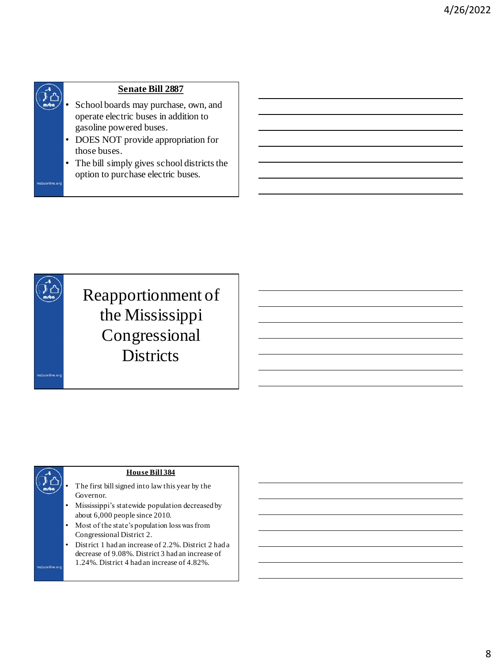- School boards may purchase, own, and operate electric buses in addition to gasoline powered buses.
- DOES NOT provide appropriation for those buses.
- The bill simply gives school districts the option to purchase electric buses.





- The first bill signed into law this year by the Governor.
- Mississippi's statewide population decreased by about 6,000 people since 2010.
- Most of the state's population loss was from Congressional District 2.
- District 1 had an increase of 2.2%. District 2 had a decrease of 9.08%. District 3 had an increase of 1.24%. District 4 had an increase of 4.82%.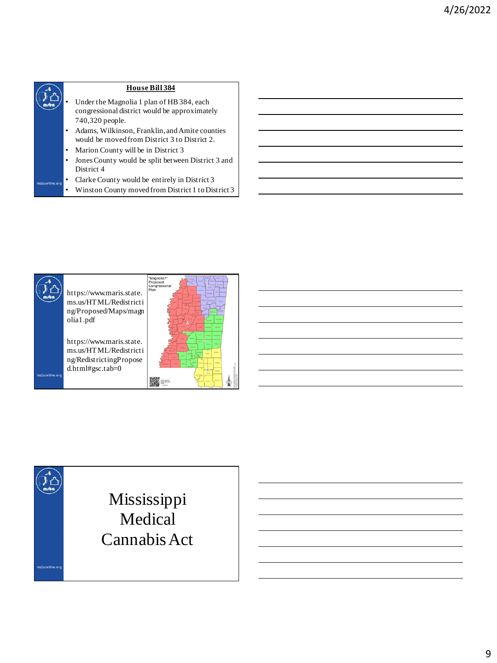

• Winston County moved from District 1 to District 3



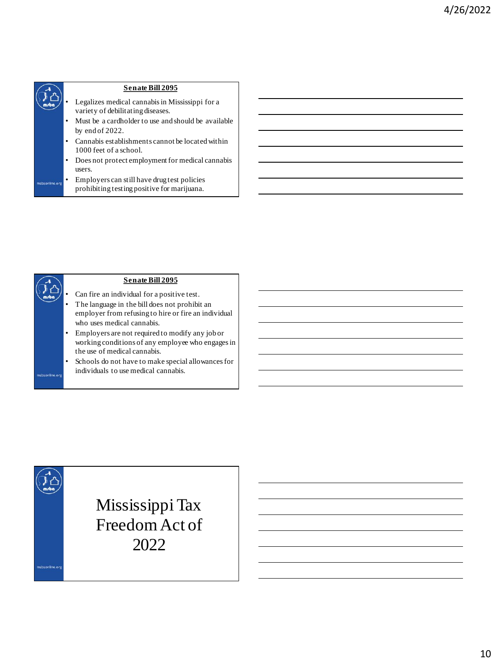- Legalizes medical cannabis in Mississippi for a variety of debilitating diseases.
- Must be a cardholder to use and should be available by end of 2022.
- Cannabis establishments cannot be located within 1000 feet of a school.
- Does not protect employment for medical cannabis users.
- Employers can still have drug test policies prohibiting testing positive for marijuana.

- Can fire an individual for a positive test.
- The language in the bill does not prohibit an employer from refusing to hire or fire an individual who uses medical cannabis.
- Employers are not required to modify any job or working conditions of any employee who engages in the use of medical cannabis.
- Schools do not have to make special allowances for individuals to use medical cannabis.

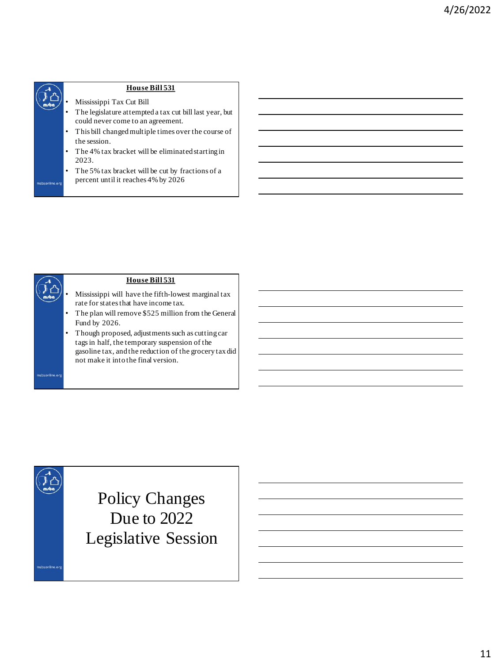

- Mississippi Tax Cut Bill
- The legislature attempted a tax cut bill last year, but could never come to an agreement.
- This bill changed multiple times over the course of the session.
- The 4% tax bracket will be eliminated starting in 2023.
- The 5% tax bracket will be cut by fractions of a percent until it reaches 4% by 2026



## **House Bill 531**

- Mississippi will have the fifth-lowest marginal tax rate for states that have income tax.
- The plan will remove \$525 million from the General Fund by 2026.
- Though proposed, adjustments such as cutting car tags in half, the temporary suspension of the gasoline tax, and the reduction of the grocery tax did not make it into the final version.

Policy Changes Due to 2022 Legislative Session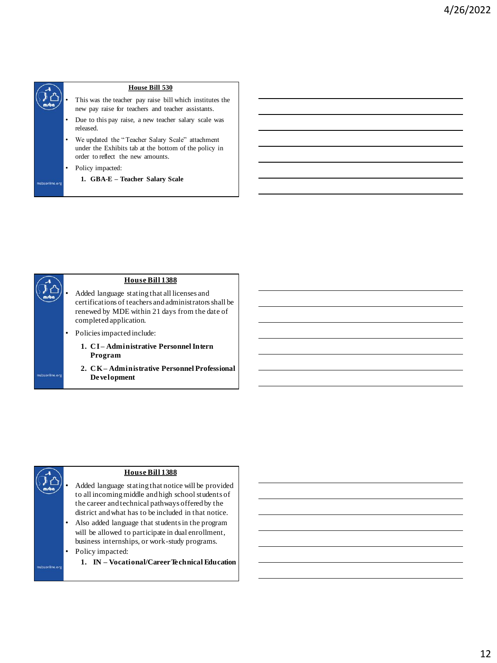

- This was the teacher pay raise bill which institutes the new pay raise for teachers and teacher assistants.
- Due to this pay raise, a new teacher salary scale was released.
- We updated the " Teacher Salary Scale" attachment under the Exhibits tab at the bottom of the policy in order to reflect the new amounts.
- Policy impacted:
	- **1. GBA-E – Teacher Salary Scale**

|  |                |   | <b>House Bill 1388</b>                                                                                                                                                             |  |
|--|----------------|---|------------------------------------------------------------------------------------------------------------------------------------------------------------------------------------|--|
|  |                |   | Added language stating that all licenses and<br>certifications of teachers and administrators shall be<br>renewed by MDE within 21 days from the date of<br>completed application. |  |
|  |                | ٠ | Policies impacted include:                                                                                                                                                         |  |
|  |                |   | 1. CI-Administrative Personnel Intern<br>Program                                                                                                                                   |  |
|  | msbaonline.org |   | 2. CK – Administrative Personnel Professional<br><b>Development</b>                                                                                                                |  |
|  |                |   |                                                                                                                                                                                    |  |



- Added language stating that notice will be provided to all incoming middle and high school students of the career and technical pathways offered by the district and what has to be included in that notice.
- Also added language that students in the program will be allowed to participate in dual enrollment, business internships, or work-study programs.

**1. IN – Vocational/Career Technical Education**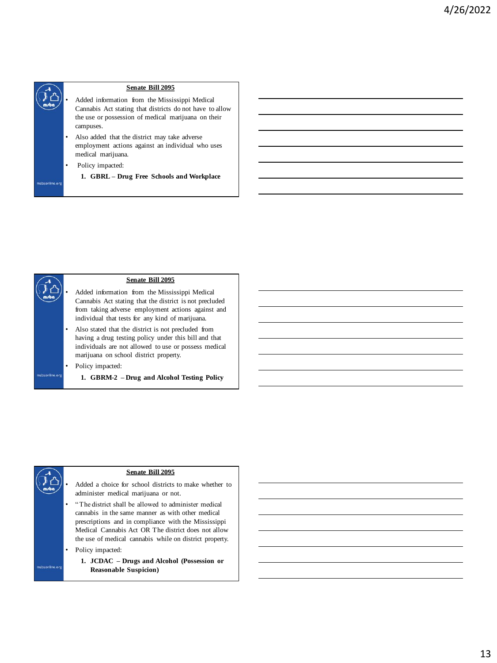

- Added information from the Mississippi Medical Cannabis Act stating that districts do not have to allow the use or possession of medical marijuana on their campuses.
- Also added that the district may take adverse employment actions against an individual who uses medical marijuana.
	- Policy impacted:
	- **1. GBRL – Drug Free Schools and Workplace**

## **Senate Bill 2095**

- Added information from the Mississippi Medical Cannabis Act stating that the district is not precluded from taking adverse employment actions against and individual that tests for any kind of marijuana.
- Also stated that the district is not precluded from having a drug testing policy under this bill and that individuals are not allowed to use or possess medical marijuana on school district property.
	- Policy impacted:
		- **1. GBRM-2 – Drug and Alcohol Testing Policy**



**1. JCDAC – Drugs and Alcohol (Possession or Reasonable Suspicion)**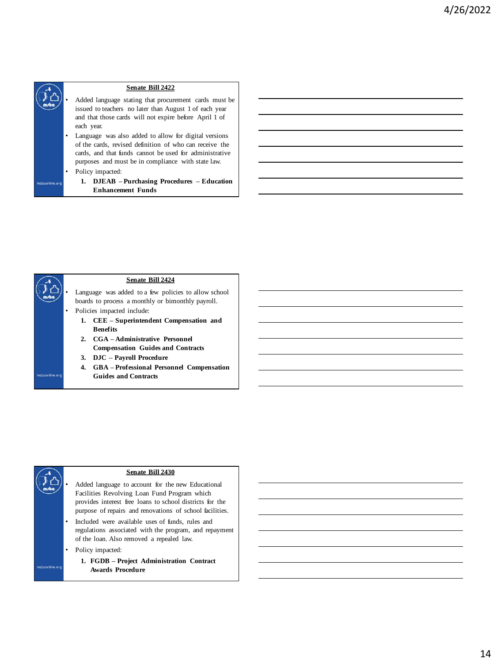

- Added language stating that procurement cards must be issued to teachers no later than August 1 of each year and that those cards will not expire before April 1 of each year.
- Language was also added to allow for digital versions of the cards, revised definition of who can receive the cards, and that funds cannot be used for administrative purposes and must be in compliance with state law.
- Policy impacted:
	- **1. DJEAB – Purchasing Procedures – Education Enhancement Funds**